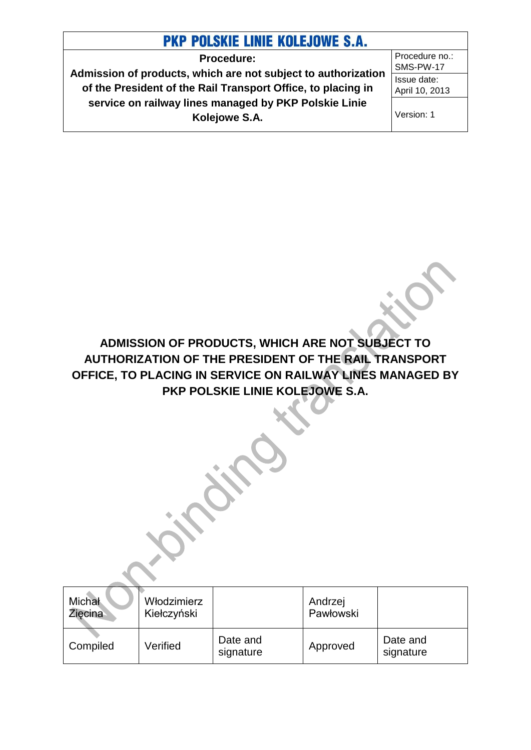**Procedure: Admission of products, which are not subject to authorization of the President of the Rail Transport Office, to placing in service on railway lines managed by PKP Polskie Linie Kolejowe S.A.** 

Procedure no.: SMS-PW-17 Issue date: April 10, 2013

Version: 1

**ADMISSION OF PRODUCTS, WHICH ARE NOT SUBJECT TO AUTHORIZATION OF THE PRESIDENT OF THE RAIL TRANSPORT OFFICE, TO PLACING IN SERVICE ON RAILWAY LINES MANAGED BY PKP POLSKIE LINIE KOLEJOWE S.A.**

| Michał<br>Ziecina | Włodzimierz<br>Kiełczyński |                       | Andrzej<br>Pawłowski |                       |
|-------------------|----------------------------|-----------------------|----------------------|-----------------------|
| Compiled          | Verified                   | Date and<br>signature | Approved             | Date and<br>signature |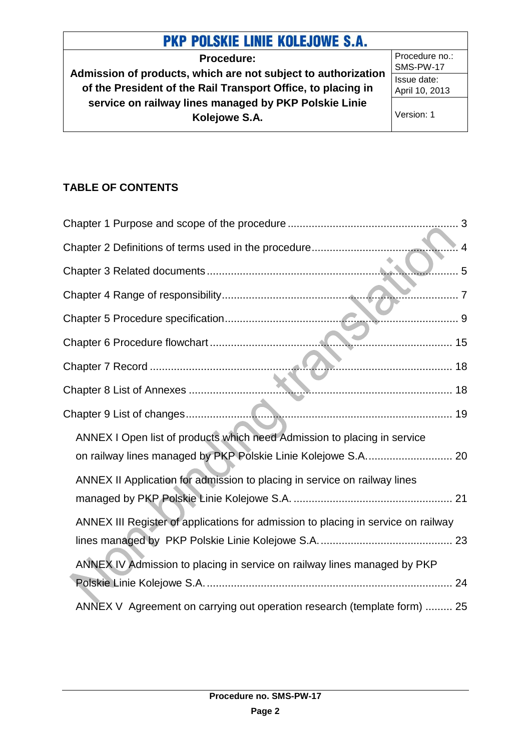**Procedure: Admission of products, which are not subject to authorization of the President of the Rail Transport Office, to placing in service on railway lines managed by PKP Polskie Linie Kolejowe S.A.**

Procedure no.: SMS-PW-17 Issue date: April 10, 2013

Version: 1

## **TABLE OF CONTENTS**

| $\overline{4}$                                                                    |  |
|-----------------------------------------------------------------------------------|--|
| . 5                                                                               |  |
| . 7                                                                               |  |
|                                                                                   |  |
|                                                                                   |  |
|                                                                                   |  |
|                                                                                   |  |
|                                                                                   |  |
| ANNEX I Open list of products which need Admission to placing in service          |  |
| on railway lines managed by PKP Polskie Linie Kolejowe S.A 20                     |  |
| ANNEX II Application for admission to placing in service on railway lines         |  |
|                                                                                   |  |
| ANNEX III Register of applications for admission to placing in service on railway |  |
|                                                                                   |  |
| ANNEX IV Admission to placing in service on railway lines managed by PKP          |  |
|                                                                                   |  |
| ANNEX V Agreement on carrying out operation research (template form)  25          |  |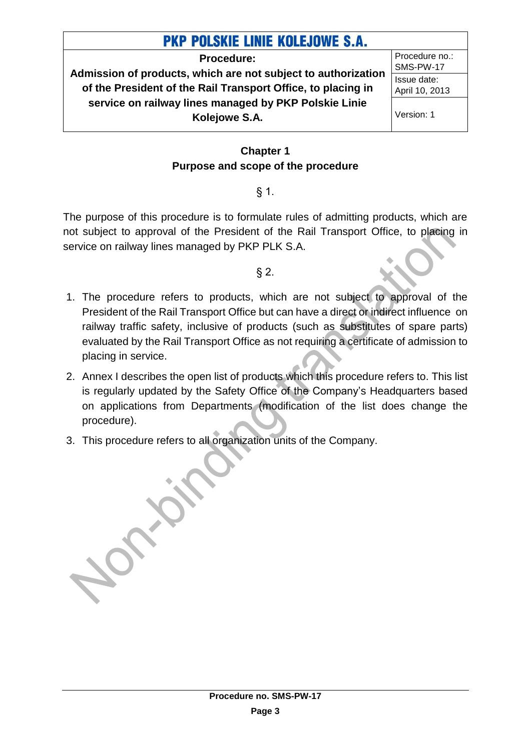**Procedure: Admission of products, which are not subject to authorization of the President of the Rail Transport Office, to placing in service on railway lines managed by PKP Polskie Linie Kolejowe S.A.**

Procedure no.: SMS-PW-17 Issue date: April 10, 2013

Version: 1

### **Chapter 1 Purpose and scope of the procedure**

### § 1.

<span id="page-2-0"></span>The purpose of this procedure is to formulate rules of admitting products, which are not subject to approval of the President of the Rail Transport Office, to placing in service on railway lines managed by PKP PLK S.A.

### $§$  2.

- 1. The procedure refers to products, which are not subject to approval of the President of the Rail Transport Office but can have a direct or indirect influence on railway traffic safety, inclusive of products (such as substitutes of spare parts) evaluated by the Rail Transport Office as not requiring a certificate of admission to placing in service.
- 2. Annex I describes the open list of products which this procedure refers to. This list is regularly updated by the Safety Office of the Company's Headquarters based on applications from Departments (modification of the list does change the procedure).
- 3. This procedure refers to all organization units of the Company.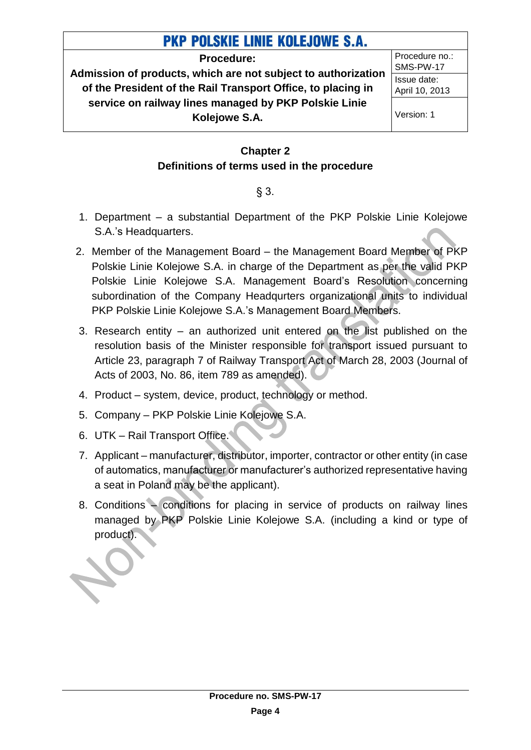**Procedure:**

**Admission of products, which are not subject to authorization of the President of the Rail Transport Office, to placing in service on railway lines managed by PKP Polskie Linie Kolejowe S.A.**

Procedure no.: SMS-PW-17 Issue date: April 10, 2013

Version: 1

### **Chapter 2 Definitions of terms used in the procedure**

### § 3.

- <span id="page-3-0"></span>1. Department – a substantial Department of the PKP Polskie Linie Kolejowe S.A.'s Headquarters.
- 2. Member of the Management Board the Management Board Member of PKP Polskie Linie Kolejowe S.A. in charge of the Department as per the valid PKP Polskie Linie Kolejowe S.A. Management Board's Resolution concerning subordination of the Company Headqurters organizational units to individual PKP Polskie Linie Kolejowe S.A.'s Management Board Members.
- 3. Research entity an authorized unit entered on the list published on the resolution basis of the Minister responsible for transport issued pursuant to Article 23, paragraph 7 of Railway Transport Act of March 28, 2003 (Journal of Acts of 2003, No. 86, item 789 as amended).
- 4. Product system, device, product, technology or method.
- 5. Company PKP Polskie Linie Kolejowe S.A.
- 6. UTK Rail Transport Office.
- 7. Applicant manufacturer, distributor, importer, contractor or other entity (in case of automatics, manufacturer or manufacturer's authorized representative having a seat in Poland may be the applicant).
- 8. Conditions conditions for placing in service of products on railway lines managed by PKP Polskie Linie Kolejowe S.A. (including a kind or type of product).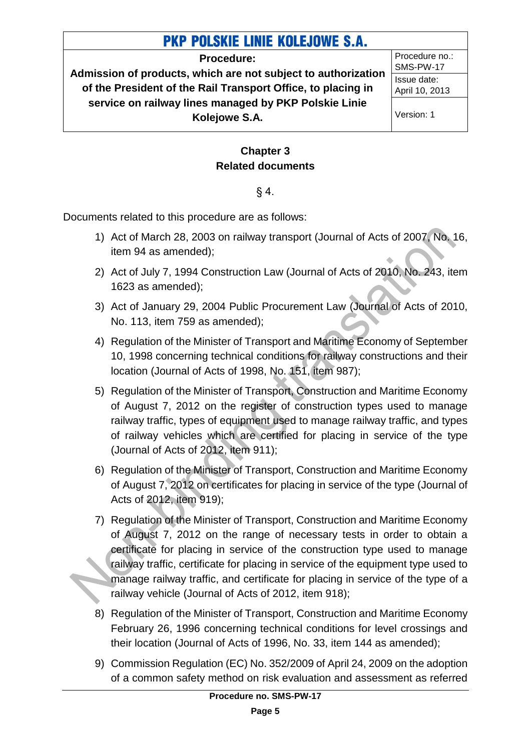#### **Procedure:**

**Admission of products, which are not subject to authorization of the President of the Rail Transport Office, to placing in service on railway lines managed by PKP Polskie Linie Kolejowe S.A.**

Procedure no.: SMS-PW-17 Issue date: April 10, 2013

Version: 1

### **Chapter 3 Related documents**

### $§ 4.$

<span id="page-4-0"></span>Documents related to this procedure are as follows:

- 1) Act of March 28, 2003 on railway transport (Journal of Acts of 2007, No. 16, item 94 as amended);
- 2) Act of July 7, 1994 Construction Law (Journal of Acts of 2010, No. 243, item 1623 as amended);
- 3) Act of January 29, 2004 Public Procurement Law (Journal of Acts of 2010, No. 113, item 759 as amended);
- 4) Regulation of the Minister of Transport and Maritime Economy of September 10, 1998 concerning technical conditions for railway constructions and their location (Journal of Acts of 1998, No. 151, item 987);
- 5) Regulation of the Minister of Transport, Construction and Maritime Economy of August 7, 2012 on the register of construction types used to manage railway traffic, types of equipment used to manage railway traffic, and types of railway vehicles which are certified for placing in service of the type (Journal of Acts of 2012, item 911);
- 6) Regulation of the Minister of Transport, Construction and Maritime Economy of August 7, 2012 on certificates for placing in service of the type (Journal of Acts of 2012, item 919);
- 7) Regulation of the Minister of Transport, Construction and Maritime Economy of August 7, 2012 on the range of necessary tests in order to obtain a certificate for placing in service of the construction type used to manage railway traffic, certificate for placing in service of the equipment type used to manage railway traffic, and certificate for placing in service of the type of a railway vehicle (Journal of Acts of 2012, item 918);
- 8) Regulation of the Minister of Transport, Construction and Maritime Economy February 26, 1996 concerning technical conditions for level crossings and their location (Journal of Acts of 1996, No. 33, item 144 as amended);
- 9) Commission Regulation (EC) No. 352/2009 of April 24, 2009 on the adoption of a common safety method on risk evaluation and assessment as referred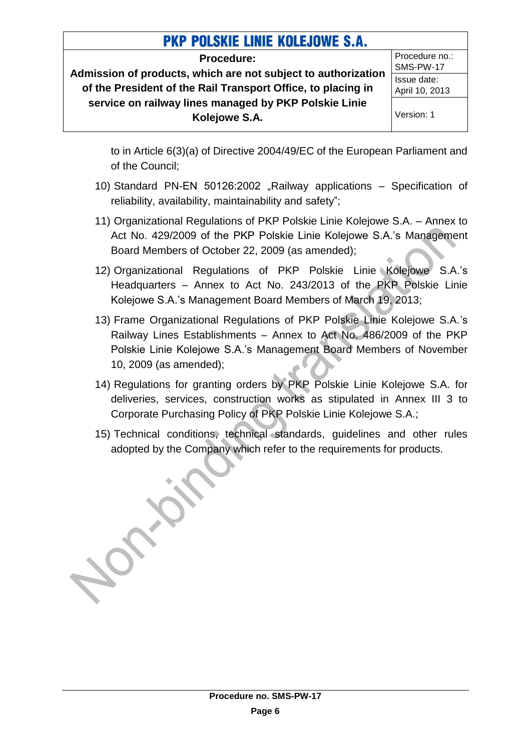**Procedure:**

**Admission of products, which are not subject to authorization of the President of the Rail Transport Office, to placing in service on railway lines managed by PKP Polskie Linie Kolejowe S.A.**

Procedure no.: SMS-PW-17 Issue date: April 10, 2013 Version: 1

to in Article 6(3)(a) of Directive 2004/49/EC of the European Parliament and of the Council;

- 10) Standard PN-EN 50126:2002 "Railway applications Specification of reliability, availability, maintainability and safety";
- 11) Organizational Regulations of PKP Polskie Linie Kolejowe S.A. Annex to Act No. 429/2009 of the PKP Polskie Linie Kolejowe S.A.'s Management Board Members of October 22, 2009 (as amended);
- 12) Organizational Regulations of PKP Polskie Linie Kolejowe S.A.'s Headquarters – Annex to Act No. 243/2013 of the PKP Polskie Linie Kolejowe S.A.'s Management Board Members of March 19, 2013;
- 13) Frame Organizational Regulations of PKP Polskie Linie Kolejowe S.A.'s Railway Lines Establishments – Annex to Act No. 486/2009 of the PKP Polskie Linie Kolejowe S.A.'s Management Board Members of November 10, 2009 (as amended);
- 14) Regulations for granting orders by PKP Polskie Linie Kolejowe S.A. for deliveries, services, construction works as stipulated in Annex III 3 to Corporate Purchasing Policy of PKP Polskie Linie Kolejowe S.A.;
- 15) Technical conditions, technical standards, guidelines and other rules adopted by the Company which refer to the requirements for products.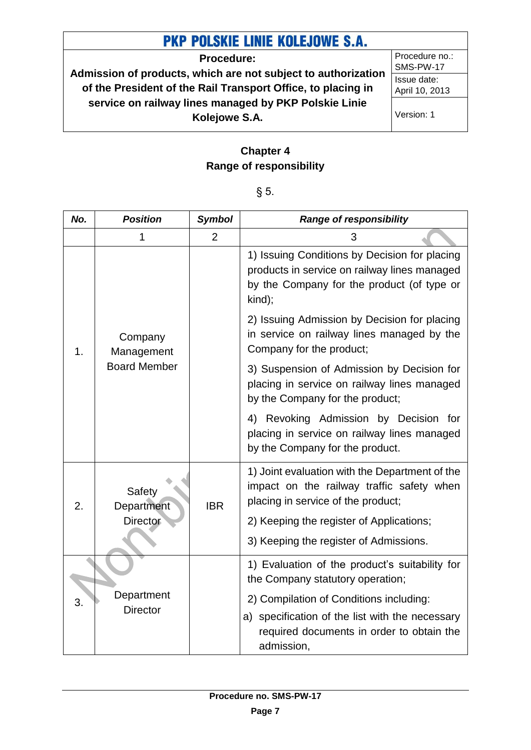**Procedure: Admission of products, which are not subject to authorization of the President of the Rail Transport Office, to placing in service on railway lines managed by PKP Polskie Linie Kolejowe S.A.**

Procedure no.: SMS-PW-17 Issue date: April 10, 2013

Version: 1

### **Chapter 4 Range of responsibility**

| × | I<br>×<br>- |
|---|-------------|
|---|-------------|

<span id="page-6-0"></span>

| No. | <b>Position</b>       | <b>Symbol</b>  | <b>Range of responsibility</b>                                                                                                                        |
|-----|-----------------------|----------------|-------------------------------------------------------------------------------------------------------------------------------------------------------|
|     | 1                     | $\overline{2}$ | 3                                                                                                                                                     |
|     |                       |                | 1) Issuing Conditions by Decision for placing<br>products in service on railway lines managed<br>by the Company for the product (of type or<br>kind); |
| 1.  | Company<br>Management |                | 2) Issuing Admission by Decision for placing<br>in service on railway lines managed by the<br>Company for the product;                                |
|     | <b>Board Member</b>   |                | 3) Suspension of Admission by Decision for<br>placing in service on railway lines managed<br>by the Company for the product;                          |
|     |                       |                | 4) Revoking Admission by Decision for<br>placing in service on railway lines managed<br>by the Company for the product.                               |
| 2.  | Safety<br>Department  | <b>IBR</b>     | 1) Joint evaluation with the Department of the<br>impact on the railway traffic safety when<br>placing in service of the product;                     |
|     | <b>Director</b>       |                | 2) Keeping the register of Applications;                                                                                                              |
|     |                       |                | 3) Keeping the register of Admissions.                                                                                                                |
|     |                       |                | 1) Evaluation of the product's suitability for<br>the Company statutory operation;                                                                    |
| 3.  | Department            |                | 2) Compilation of Conditions including:                                                                                                               |
|     | <b>Director</b>       |                | a) specification of the list with the necessary                                                                                                       |
|     |                       |                | required documents in order to obtain the<br>admission,                                                                                               |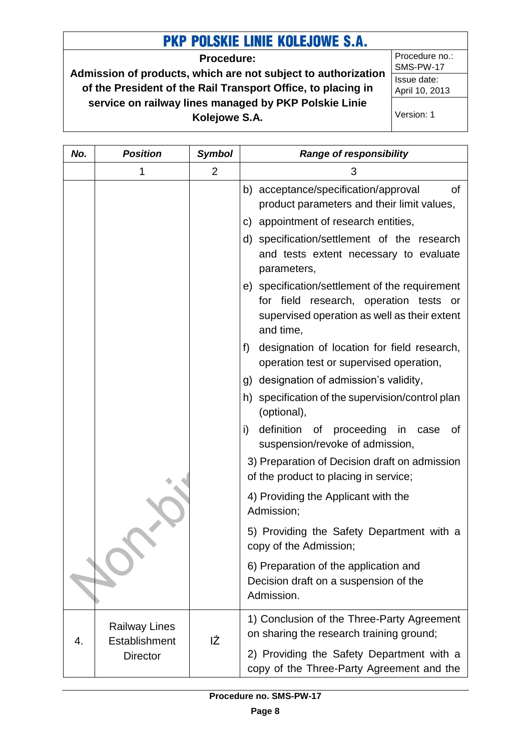**Procedure:**

**Admission of products, which are not subject to authorization of the President of the Rail Transport Office, to placing in service on railway lines managed by PKP Polskie Linie Kolejowe S.A.**

*No. Position Symbol Range of responsibility*

Procedure no.: SMS-PW-17 Issue date: April 10, 2013

Version: 1

| 1 | $\overline{2}$ | 3                                                                                                                                                     |
|---|----------------|-------------------------------------------------------------------------------------------------------------------------------------------------------|
|   |                | b) acceptance/specification/approval<br><b>of</b><br>product parameters and their limit values,                                                       |
|   |                | c) appointment of research entities,                                                                                                                  |
|   |                | d) specification/settlement of the research<br>and tests extent necessary to evaluate<br>parameters,                                                  |
|   |                | e) specification/settlement of the requirement<br>for field research, operation tests or<br>supervised operation as well as their extent<br>and time, |
|   |                | designation of location for field research,<br>f)<br>operation test or supervised operation,                                                          |
|   |                | g) designation of admission's validity,                                                                                                               |
|   |                | h) specification of the supervision/control plan<br>(optional),                                                                                       |
|   |                | definition of proceeding in<br>i)<br>case<br>οf<br>suspension/revoke of admission,                                                                    |
|   |                | 3) Preparation of Decision draft on admission<br>of the product to placing in service;                                                                |
|   |                | 4) Providing the Applicant with the<br>Admission;                                                                                                     |
|   |                | 5) Providing the Safety Department with a<br>copy of the Admission;                                                                                   |

6) Preparation of the application and Decision draft on a suspension of the

1) Conclusion of the Three-Party Agreement

2) Providing the Safety Department with a copy of the Three-Party Agreement and the

on sharing the research training ground;

**Procedure no. SMS-PW-17**

IŻ

4.

Railway Lines **Establishment Director** 

Admission.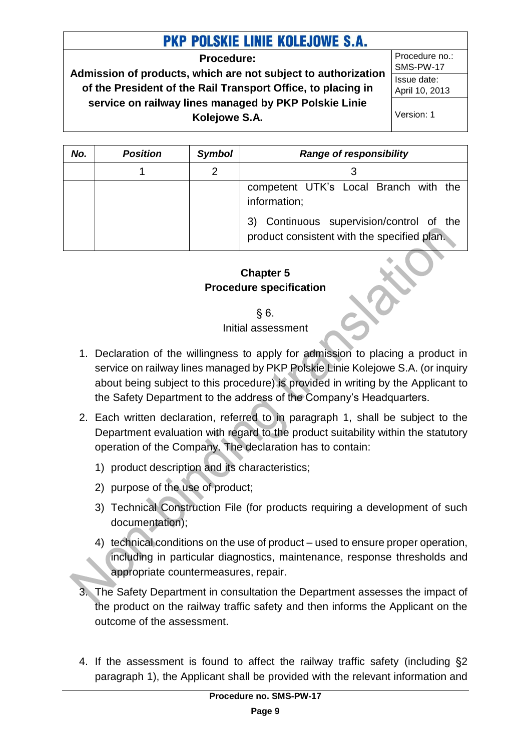**Procedure:**

**Admission of products, which are not subject to authorization of the President of the Rail Transport Office, to placing in service on railway lines managed by PKP Polskie Linie Kolejowe S.A.**

Procedure no.: SMS-PW-17 Issue date: April 10, 2013

Version: 1

| No. | <b>Position</b> | <b>Symbol</b> | <b>Range of responsibility</b>                                                          |
|-----|-----------------|---------------|-----------------------------------------------------------------------------------------|
|     |                 | $\mathcal{P}$ |                                                                                         |
|     |                 |               | competent UTK's Local Branch with the<br>information;                                   |
|     |                 |               | 3) Continuous supervision/control of the<br>product consistent with the specified plan. |

### **Chapter 5 Procedure specification**

§ 6.

Initial assessment

- <span id="page-8-0"></span>1. Declaration of the willingness to apply for admission to placing a product in service on railway lines managed by PKP Polskie Linie Kolejowe S.A. (or inquiry about being subject to this procedure) is provided in writing by the Applicant to the Safety Department to the address of the Company's Headquarters.
- 2. Each written declaration, referred to in paragraph 1, shall be subject to the Department evaluation with regard to the product suitability within the statutory operation of the Company. The declaration has to contain:
	- 1) product description and its characteristics;
	- 2) purpose of the use of product;
	- 3) Technical Construction File (for products requiring a development of such documentation);
	- 4) technical conditions on the use of product used to ensure proper operation, including in particular diagnostics, maintenance, response thresholds and appropriate countermeasures, repair.
- 3. The Safety Department in consultation the Department assesses the impact of the product on the railway traffic safety and then informs the Applicant on the outcome of the assessment.
- 4. If the assessment is found to affect the railway traffic safety (including §2 paragraph 1), the Applicant shall be provided with the relevant information and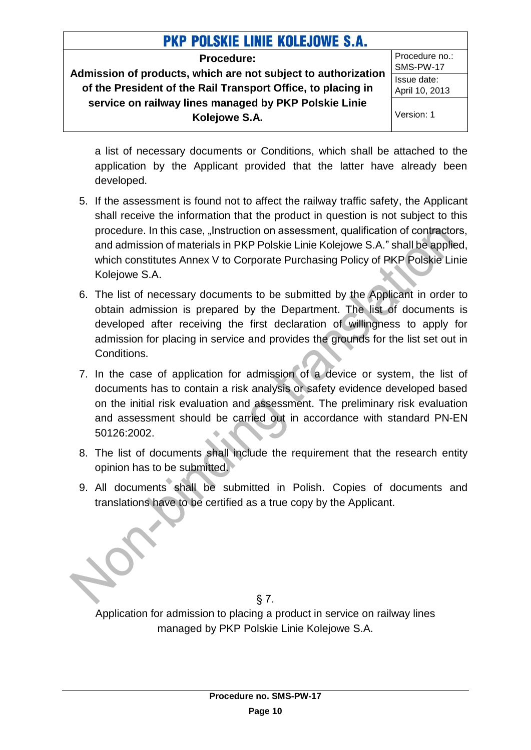**Procedure: Admission of products, which are not subject to authorization of the President of the Rail Transport Office, to placing in service on railway lines managed by PKP Polskie Linie Kolejowe S.A.**

Procedure no.: SMS-PW-17 Issue date: April 10, 2013 Version: 1

a list of necessary documents or Conditions, which shall be attached to the application by the Applicant provided that the latter have already been developed.

- 5. If the assessment is found not to affect the railway traffic safety, the Applicant shall receive the information that the product in question is not subject to this procedure. In this case, "Instruction on assessment, qualification of contractors, and admission of materials in PKP Polskie Linie Kolejowe S.A." shall be applied, which constitutes Annex V to Corporate Purchasing Policy of PKP Polskie Linie Kolejowe S.A.
- 6. The list of necessary documents to be submitted by the Applicant in order to obtain admission is prepared by the Department. The list of documents is developed after receiving the first declaration of willingness to apply for admission for placing in service and provides the grounds for the list set out in Conditions.
- 7. In the case of application for admission of a device or system, the list of documents has to contain a risk analysis or safety evidence developed based on the initial risk evaluation and assessment. The preliminary risk evaluation and assessment should be carried out in accordance with standard PN-EN 50126:2002.
- 8. The list of documents shall include the requirement that the research entity opinion has to be submitted.
- 9. All documents shall be submitted in Polish. Copies of documents and translations have to be certified as a true copy by the Applicant.

§ 7. Application for admission to placing a product in service on railway lines managed by PKP Polskie Linie Kolejowe S.A.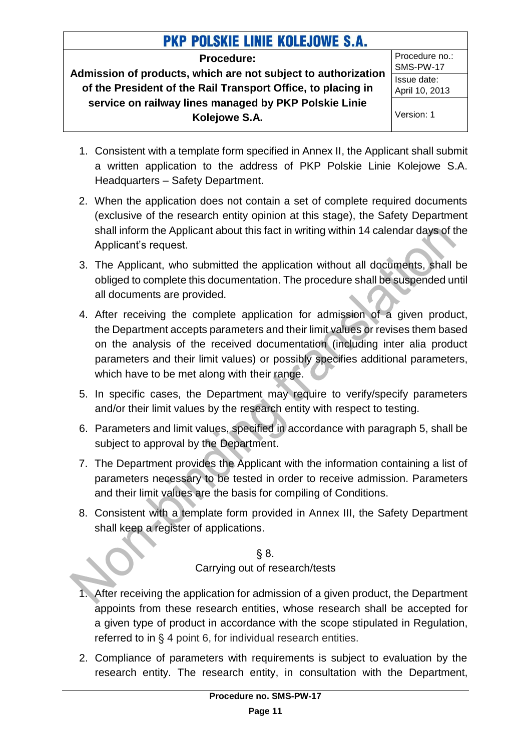**Procedure:**

**Admission of products, which are not subject to authorization of the President of the Rail Transport Office, to placing in service on railway lines managed by PKP Polskie Linie Kolejowe S.A.**

Procedure no.: SMS-PW-17 Issue date: April 10, 2013 Version: 1

- 1. Consistent with a template form specified in Annex II, the Applicant shall submit a written application to the address of PKP Polskie Linie Kolejowe S.A. Headquarters – Safety Department.
- 2. When the application does not contain a set of complete required documents (exclusive of the research entity opinion at this stage), the Safety Department shall inform the Applicant about this fact in writing within 14 calendar days of the Applicant's request.
- 3. The Applicant, who submitted the application without all documents, shall be obliged to complete this documentation. The procedure shall be suspended until all documents are provided.
- 4. After receiving the complete application for admission of a given product, the Department accepts parameters and their limit values or revises them based on the analysis of the received documentation (including inter alia product parameters and their limit values) or possibly specifies additional parameters, which have to be met along with their range.
- 5. In specific cases, the Department may require to verify/specify parameters and/or their limit values by the research entity with respect to testing.
- 6. Parameters and limit values, specified in accordance with paragraph 5, shall be subject to approval by the Department.
- 7. The Department provides the Applicant with the information containing a list of parameters necessary to be tested in order to receive admission. Parameters and their limit values are the basis for compiling of Conditions.
- 8. Consistent with a template form provided in Annex III, the Safety Department shall keep a register of applications.

§ 8. Carrying out of research/tests

- 1. After receiving the application for admission of a given product, the Department appoints from these research entities, whose research shall be accepted for a given type of product in accordance with the scope stipulated in Regulation, referred to in § 4 point 6, for individual research entities.
- 2. Compliance of parameters with requirements is subject to evaluation by the research entity. The research entity, in consultation with the Department,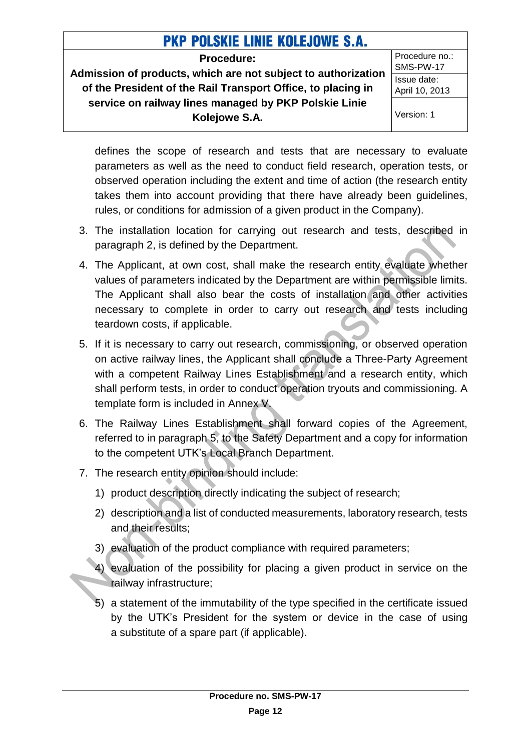**Procedure:**

**Admission of products, which are not subject to authorization of the President of the Rail Transport Office, to placing in service on railway lines managed by PKP Polskie Linie Kolejowe S.A.**

Procedure no.: SMS-PW-17 Issue date: April 10, 2013

Version: 1

defines the scope of research and tests that are necessary to evaluate parameters as well as the need to conduct field research, operation tests, or observed operation including the extent and time of action (the research entity takes them into account providing that there have already been guidelines, rules, or conditions for admission of a given product in the Company).

- 3. The installation location for carrying out research and tests, described in paragraph 2, is defined by the Department.
- 4. The Applicant, at own cost, shall make the research entity evaluate whether values of parameters indicated by the Department are within permissible limits. The Applicant shall also bear the costs of installation and other activities necessary to complete in order to carry out research and tests including teardown costs, if applicable.
- 5. If it is necessary to carry out research, commissioning, or observed operation on active railway lines, the Applicant shall conclude a Three-Party Agreement with a competent Railway Lines Establishment and a research entity, which shall perform tests, in order to conduct operation tryouts and commissioning. A template form is included in Annex V.
- 6. The Railway Lines Establishment shall forward copies of the Agreement, referred to in paragraph 5, to the Safety Department and a copy for information to the competent UTK's Local Branch Department.
- 7. The research entity opinion should include:
	- 1) product description directly indicating the subject of research;
	- 2) description and a list of conducted measurements, laboratory research, tests and their results;
	- 3) evaluation of the product compliance with required parameters;
	- 4) evaluation of the possibility for placing a given product in service on the **railway infrastructure:**
	- 5) a statement of the immutability of the type specified in the certificate issued by the UTK's President for the system or device in the case of using a substitute of a spare part (if applicable).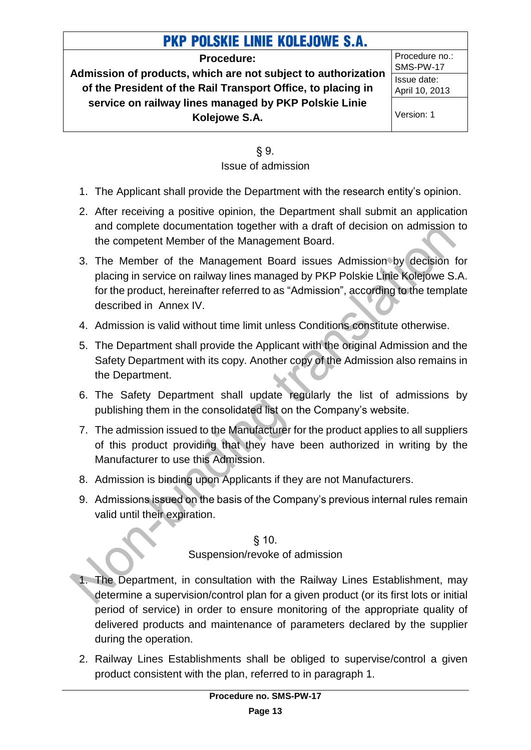**Procedure:**

**Admission of products, which are not subject to authorization of the President of the Rail Transport Office, to placing in service on railway lines managed by PKP Polskie Linie Kolejowe S.A.**

Procedure no.: SMS-PW-17 Issue date: April 10, 2013

Version: 1

### § 9. Issue of admission

- 1. The Applicant shall provide the Department with the research entity's opinion.
- 2. After receiving a positive opinion, the Department shall submit an application and complete documentation together with a draft of decision on admission to the competent Member of the Management Board.
- 3. The Member of the Management Board issues Admission by decision for placing in service on railway lines managed by PKP Polskie Linie Kolejowe S.A. for the product, hereinafter referred to as "Admission", according to the template described in Annex IV.
- 4. Admission is valid without time limit unless Conditions constitute otherwise.
- 5. The Department shall provide the Applicant with the original Admission and the Safety Department with its copy. Another copy of the Admission also remains in the Department.
- 6. The Safety Department shall update regularly the list of admissions by publishing them in the consolidated list on the Company's website.
- 7. The admission issued to the Manufacturer for the product applies to all suppliers of this product providing that they have been authorized in writing by the Manufacturer to use this Admission.
- 8. Admission is binding upon Applicants if they are not Manufacturers.
- 9. Admissions issued on the basis of the Company's previous internal rules remain valid until their expiration.

§ 10. Suspension/revoke of admission

- 1. The Department, in consultation with the Railway Lines Establishment, may determine a supervision/control plan for a given product (or its first lots or initial period of service) in order to ensure monitoring of the appropriate quality of delivered products and maintenance of parameters declared by the supplier during the operation.
- 2. Railway Lines Establishments shall be obliged to supervise/control a given product consistent with the plan, referred to in paragraph 1.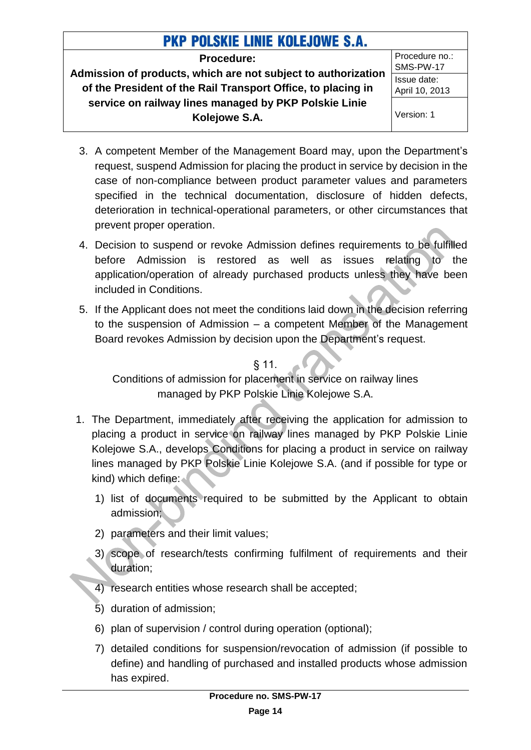**Procedure:**

**Admission of products, which are not subject to authorization of the President of the Rail Transport Office, to placing in service on railway lines managed by PKP Polskie Linie Kolejowe S.A.**

Procedure no.: SMS-PW-17 Issue date: April 10, 2013

Version: 1

- 3. A competent Member of the Management Board may, upon the Department's request, suspend Admission for placing the product in service by decision in the case of non-compliance between product parameter values and parameters specified in the technical documentation, disclosure of hidden defects, deterioration in technical-operational parameters, or other circumstances that prevent proper operation.
- 4. Decision to suspend or revoke Admission defines requirements to be fulfilled before Admission is restored as well as issues relating to the application/operation of already purchased products unless they have been included in Conditions.
- 5. If the Applicant does not meet the conditions laid down in the decision referring to the suspension of Admission – a competent Member of the Management Board revokes Admission by decision upon the Department's request.

§ 11.

Conditions of admission for placement in service on railway lines managed by PKP Polskie Linie Kolejowe S.A.

- 1. The Department, immediately after receiving the application for admission to placing a product in service on railway lines managed by PKP Polskie Linie Kolejowe S.A., develops Conditions for placing a product in service on railway lines managed by PKP Polskie Linie Kolejowe S.A. (and if possible for type or kind) which define:
	- 1) list of documents required to be submitted by the Applicant to obtain admission;
	- 2) parameters and their limit values;
	- 3) scope of research/tests confirming fulfilment of requirements and their duration;
	- 4) research entities whose research shall be accepted;
	- 5) duration of admission;
	- 6) plan of supervision / control during operation (optional);
	- 7) detailed conditions for suspension/revocation of admission (if possible to define) and handling of purchased and installed products whose admission has expired.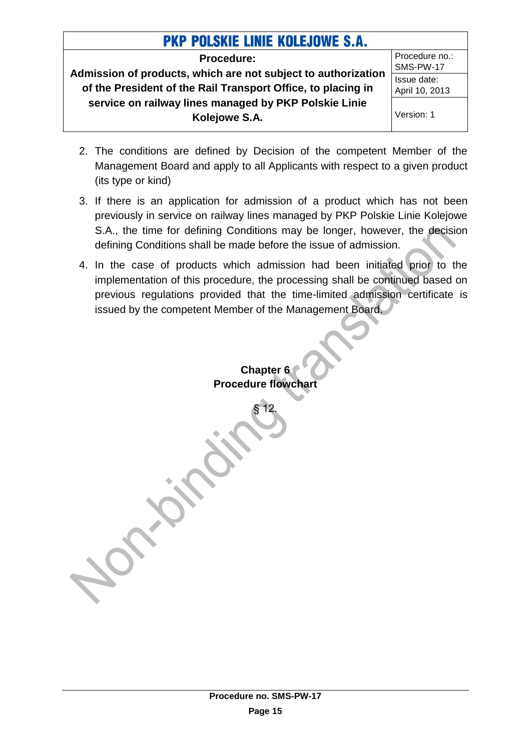**Procedure: Admission of products, which are not subject to authorization of the President of the Rail Transport Office, to placing in service on railway lines managed by PKP Polskie Linie Kolejowe S.A.**

Procedure no.: SMS-PW-17 Issue date: April 10, 2013 Version: 1

- 2. The conditions are defined by Decision of the competent Member of the Management Board and apply to all Applicants with respect to a given product (its type or kind)
- 3. If there is an application for admission of a product which has not been previously in service on railway lines managed by PKP Polskie Linie Kolejowe S.A., the time for defining Conditions may be longer, however, the decision defining Conditions shall be made before the issue of admission.
- <span id="page-14-0"></span>4. In the case of products which admission had been initiated prior to the implementation of this procedure, the processing shall be continued based on previous regulations provided that the time-limited admission certificate is issued by the competent Member of the Management Board.

**Chapter 6 Procedure flowchar** 

§ 12.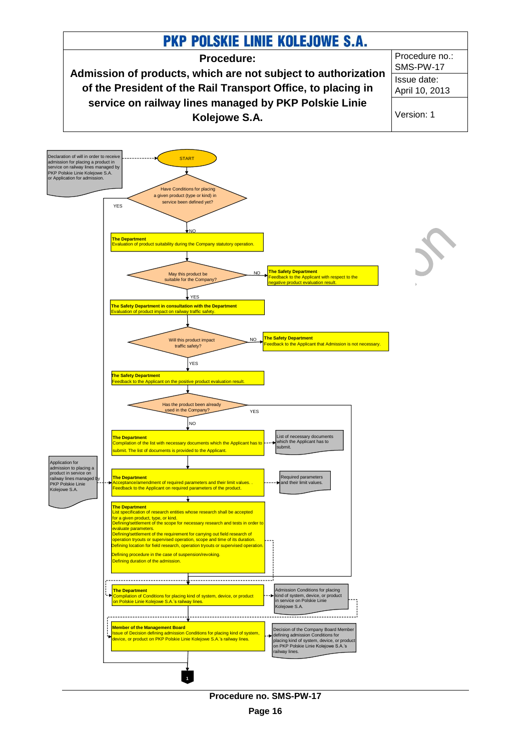

**Procedure no. SMS-PW-17**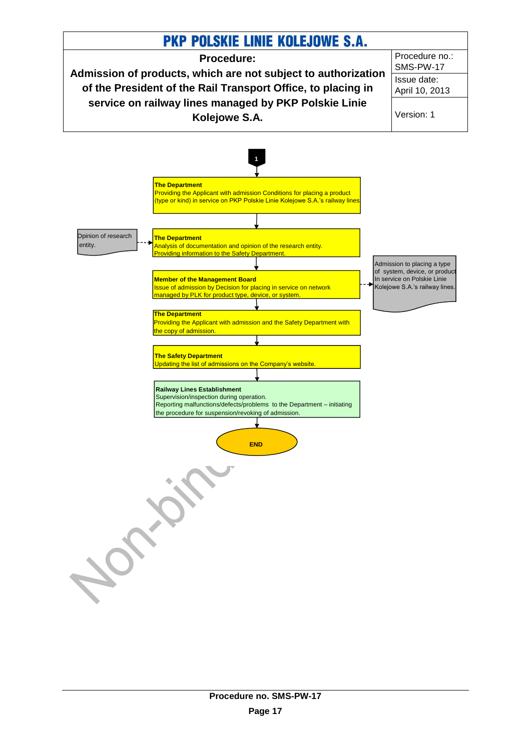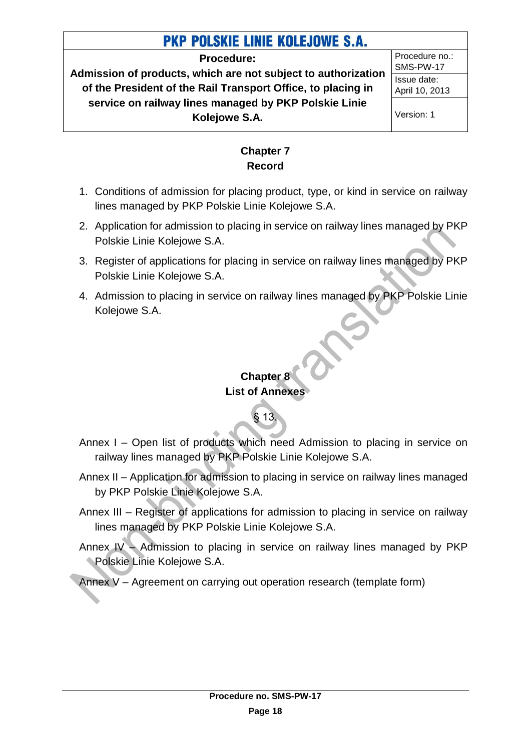#### **Procedure:**

**Admission of products, which are not subject to authorization of the President of the Rail Transport Office, to placing in service on railway lines managed by PKP Polskie Linie Kolejowe S.A.**

Procedure no.: SMS-PW-17 Issue date: April 10, 2013

Version: 1

### **Chapter 7 Record**

- <span id="page-17-0"></span>1. Conditions of admission for placing product, type, or kind in service on railway lines managed by PKP Polskie Linie Kolejowe S.A.
- 2. Application for admission to placing in service on railway lines managed by PKP Polskie Linie Kolejowe S.A.
- 3. Register of applications for placing in service on railway lines managed by PKP Polskie Linie Kolejowe S.A.
- <span id="page-17-1"></span>4. Admission to placing in service on railway lines managed by PKP Polskie Linie Kolejowe S.A.

### **Chapter 8 List of Annexes**

§ 13.

## Annex I – Open list of products which need Admission to placing in service on railway lines managed by PKP Polskie Linie Kolejowe S.A.

- Annex II Application for admission to placing in service on railway lines managed by PKP Polskie Linie Kolejowe S.A.
- Annex III Register of applications for admission to placing in service on railway lines managed by PKP Polskie Linie Kolejowe S.A.
- Annex IV Admission to placing in service on railway lines managed by PKP Polskie Linie Kolejowe S.A.

Annex V – Agreement on carrying out operation research (template form)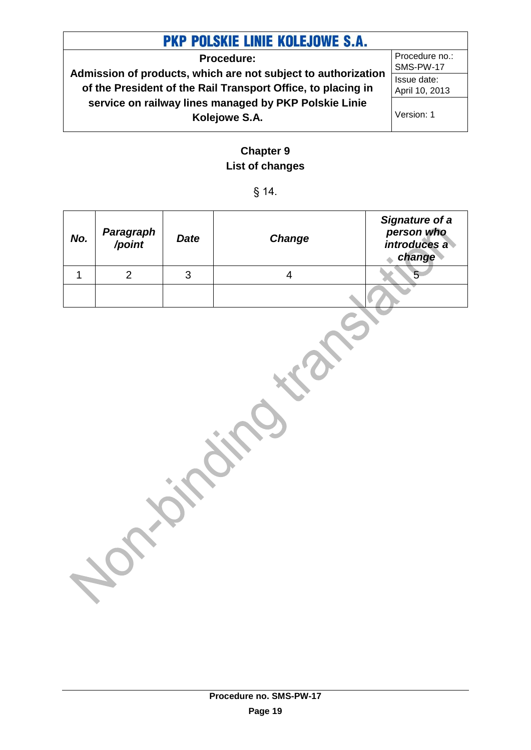**Procedure: Admission of products, which are not subject to authorization of the President of the Rail Transport Office, to placing in service on railway lines managed by PKP Polskie Linie Kolejowe S.A.**

Procedure no.: SMS-PW-17 Issue date: April 10, 2013

Version: 1

### **Chapter 9 List of changes**

### § 14.

<span id="page-18-0"></span>

| No.          | Paragraph<br>/point | <b>Date</b>  | <b>Change</b>  | Signature of a<br>person who<br>introduces a<br>change |
|--------------|---------------------|--------------|----------------|--------------------------------------------------------|
| $\mathbf{1}$ | $\overline{2}$      | $\mathbf{3}$ | $\overline{4}$ | $5-$                                                   |
|              |                     |              |                |                                                        |
|              |                     |              |                |                                                        |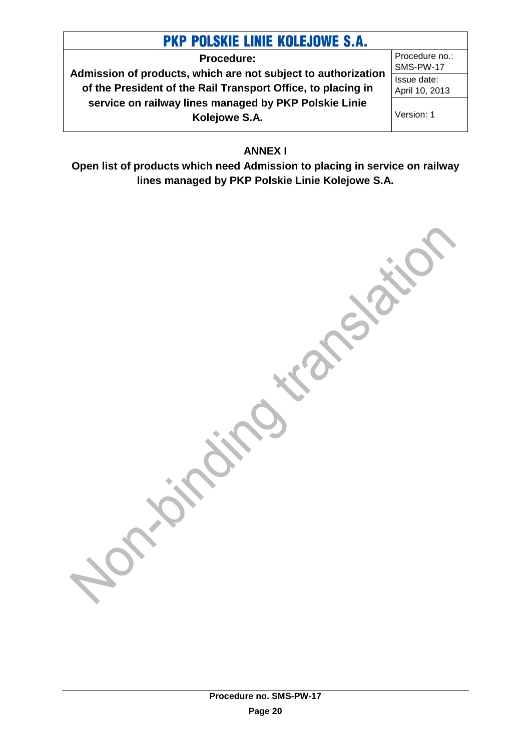**Procedure: Admission of products, which are not subject to authorization of the President of the Rail Transport Office, to placing in service on railway lines managed by PKP Polskie Linie Kolejowe S.A.**

Procedure no.: SMS-PW-17 Issue date: April 10, 2013

Version: 1

**ANNEX I**

<span id="page-19-0"></span>**Open list of products which need Admission to placing in service on railway lines managed by PKP Polskie Linie Kolejowe S.A.**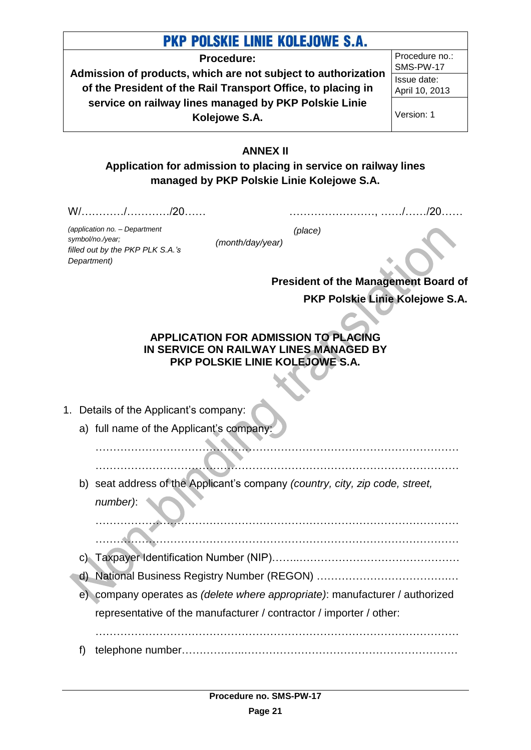**Procedure:**

**Admission of products, which are not subject to authorization of the President of the Rail Transport Office, to placing in service on railway lines managed by PKP Polskie Linie Kolejowe S.A.**

Procedure no.: SMS-PW-17 Issue date: April 10, 2013

Version: 1

### **ANNEX II**

<span id="page-20-0"></span>**Application for admission to placing in service on railway lines managed by PKP Polskie Linie Kolejowe S.A.**

W/…………/…………/20……

……………………, ……/……/20……

*(application no. – Department symbol/no./year; filled out by the PKP PLK S.A.'s Department)*

*(month/day/year)*

*(place)*

**President of the Management Board of PKP Polskie Linie Kolejowe S.A.**

### **APPLICATION FOR ADMISSION TO PLACING IN SERVICE ON RAILWAY LINES MANAGED BY PKP POLSKIE LINIE KOLEJOWE S.A.**

- 1. Details of the Applicant's company:
	- a) full name of the Applicant's company
		- ………………………………………………………………………………………… …………………………………………………………………………………………
	- b) seat address of the Applicant's company *(country, city, zip code, street, number)*:

………………………………………………………………………………………… …………………………………………………………………………………………

- c) Taxpayer Identification Number (NIP)……..………………………………………
- d) National Business Registry Number (REGON) ……………………………….…
- e) company operates as *(delete where appropriate)*: manufacturer / authorized representative of the manufacturer / contractor / importer / other:

f) telephone number………….…..……………………………………………………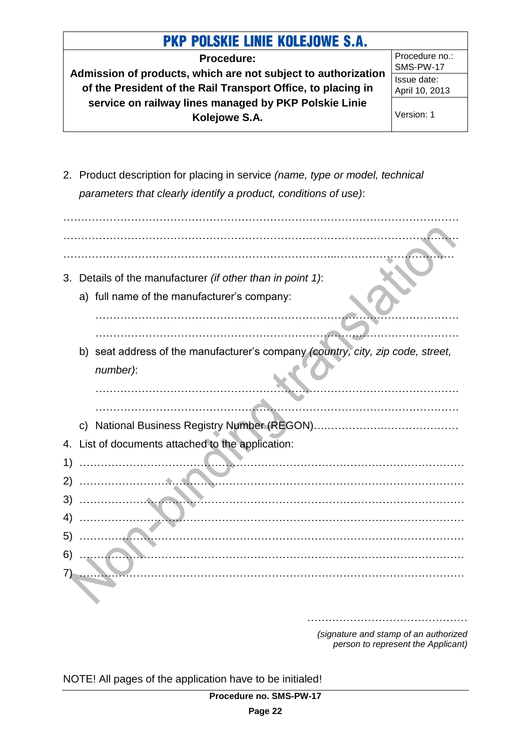**Procedure: Admission of products, which are not subject to authorization of the President of the Rail Transport Office, to placing in service on railway lines managed by PKP Polskie Linie Kolejowe S.A.**

Procedure no.: SMS-PW-17 Issue date: April 10, 2013

Version: 1

2. Product description for placing in service *(name, type or model, technical parameters that clearly identify a product, conditions of use)*:

| 3. | Details of the manufacturer (if other than in point 1):                         |
|----|---------------------------------------------------------------------------------|
|    | a) full name of the manufacturer's company:                                     |
|    |                                                                                 |
|    | b) seat address of the manufacturer's company (country, city, zip code, street, |
|    | number):                                                                        |
|    |                                                                                 |
|    | $\mathsf{C}$                                                                    |
|    | 4. List of documents attached to the application:                               |
| 1) | .                                                                               |
| 2) | .                                                                               |
| 3) |                                                                                 |
| 4) |                                                                                 |
| 5) |                                                                                 |
| 6) |                                                                                 |
|    |                                                                                 |
|    |                                                                                 |

*(signature and stamp of an authorized person to represent the Applicant)*

………………………………………

NOTE! All pages of the application have to be initialed!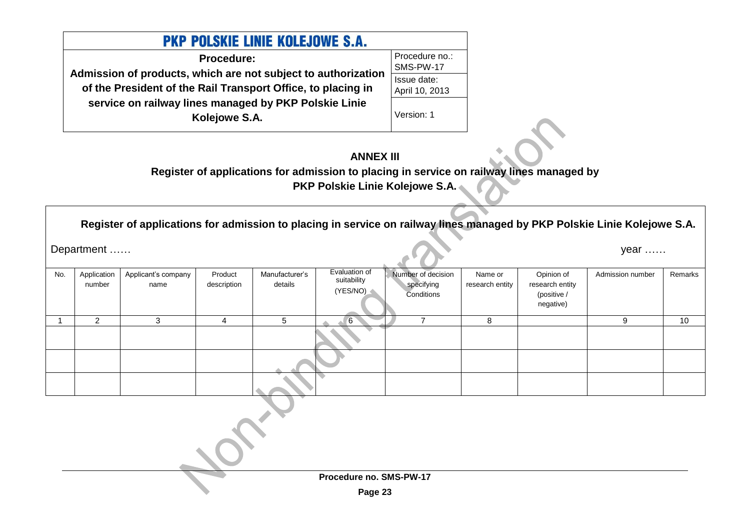| <b>PKP POLSKIE LINIE KOLEJOWE S.A.</b>                                                                                        |                               |  |  |  |  |
|-------------------------------------------------------------------------------------------------------------------------------|-------------------------------|--|--|--|--|
| Procedure:                                                                                                                    | Procedure no.:<br>SMS-PW-17   |  |  |  |  |
| Admission of products, which are not subject to authorization<br>of the President of the Rail Transport Office, to placing in | Issue date:<br>April 10, 2013 |  |  |  |  |
| service on railway lines managed by PKP Polskie Linie<br>Kolejowe S.A.                                                        | Version: 1                    |  |  |  |  |

### **ANNEX III**

**Register of applications for admission to placing in service on railway lines managed by PKP Polskie Linie Kolejowe S.A.**

**Register of applications for admission to placing in service on railway lines managed by PKP Polskie Linie Kolejowe S.A.**

Department …… year ……

<span id="page-22-0"></span>

| No. | Application<br>number | Applicant's company<br>name | Product<br>description | Manufacturer's<br>details | Evaluation of<br>suitability<br>(YES/NO) | Number of decision<br>specifying<br>Conditions | Name or<br>research entity | Opinion of<br>research entity<br>(positive /<br>negative) | Admission number | Remarks |
|-----|-----------------------|-----------------------------|------------------------|---------------------------|------------------------------------------|------------------------------------------------|----------------------------|-----------------------------------------------------------|------------------|---------|
|     | $\overline{2}$        | 3                           | 4                      | 5                         | 6                                        | ⇁                                              | 8                          |                                                           | 9                | 10      |
|     |                       |                             |                        |                           |                                          |                                                |                            |                                                           |                  |         |
|     |                       |                             |                        |                           |                                          |                                                |                            |                                                           |                  |         |
|     |                       |                             |                        |                           |                                          |                                                |                            |                                                           |                  |         |
|     |                       |                             |                        |                           |                                          |                                                |                            |                                                           |                  |         |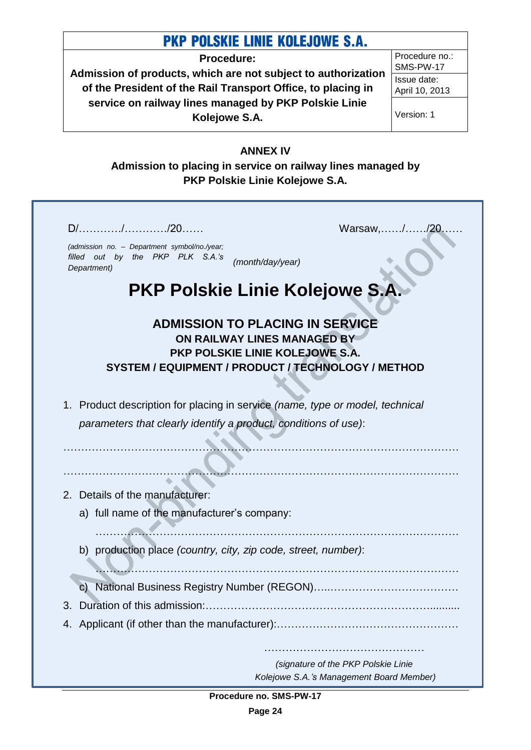**Procedure:**

**Admission of products, which are not subject to authorization of the President of the Rail Transport Office, to placing in service on railway lines managed by PKP Polskie Linie Kolejowe S.A.**

Procedure no.: SMS-PW-17 Issue date: April 10, 2013

Version: 1

### <span id="page-23-0"></span>**ANNEX IV**

**Admission to placing in service on railway lines managed by PKP Polskie Linie Kolejowe S.A.**

| (admission no. - Department symbol/no./year;<br>filled out by the PKP PLK S.A.'s<br>(month/day/year)<br>Department)                                            |
|----------------------------------------------------------------------------------------------------------------------------------------------------------------|
| PKP Polskie Linie Kolejowe S.A.                                                                                                                                |
| <b>ADMISSION TO PLACING IN SERVICE</b><br>ON RAILWAY LINES MANAGED BY<br>PKP POLSKIE LINIE KOLEJOWE S.A.<br>SYSTEM / EQUIPMENT / PRODUCT / TECHNOLOGY / METHOD |
| 1. Product description for placing in service (name, type or model, technical                                                                                  |
| parameters that clearly identify a product, conditions of use):                                                                                                |
| 2. Details of the manufacturer:                                                                                                                                |
| a) full name of the manufacturer's company:                                                                                                                    |
| b) production place (country, city, zip code, street, number):                                                                                                 |
|                                                                                                                                                                |
|                                                                                                                                                                |
| Duration of this admission:                                                                                                                                    |

**Procedure no. SMS-PW-17**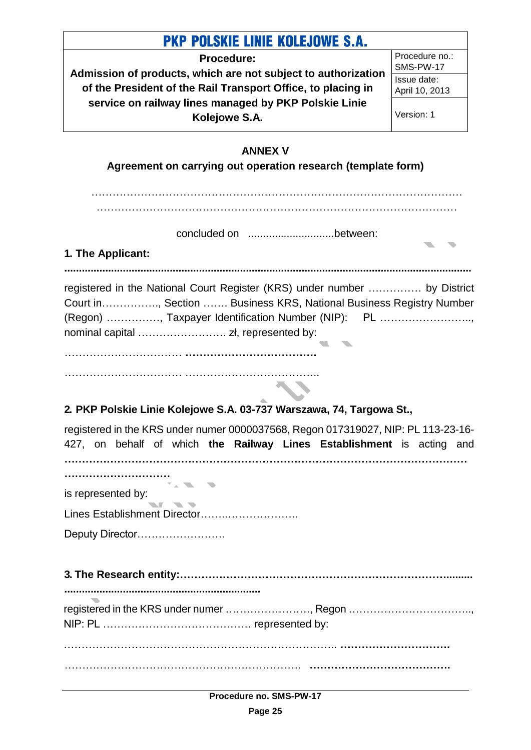<span id="page-24-0"></span>

| <b>PKP POLSKIE LINIE KOLEJOWE S.A.</b>                                                                                                                                                                  |                             |
|---------------------------------------------------------------------------------------------------------------------------------------------------------------------------------------------------------|-----------------------------|
| <b>Procedure:</b>                                                                                                                                                                                       | Procedure no.:<br>SMS-PW-17 |
| Admission of products, which are not subject to authorization                                                                                                                                           | Issue date:                 |
| of the President of the Rail Transport Office, to placing in                                                                                                                                            | April 10, 2013              |
| service on railway lines managed by PKP Polskie Linie<br>Kolejowe S.A.                                                                                                                                  | Version: 1                  |
| <b>ANNEX V</b>                                                                                                                                                                                          |                             |
| Agreement on carrying out operation research (template form)                                                                                                                                            |                             |
| 1. The Applicant:                                                                                                                                                                                       |                             |
| registered in the National Court Register (KRS) under number  by District<br>Court in, Section  Business KRS, National Business Registry Number<br>(Regon) , Taxpayer Identification Number (NIP): PL , |                             |
|                                                                                                                                                                                                         |                             |
|                                                                                                                                                                                                         |                             |
| 2. PKP Polskie Linie Kolejowe S.A. 03-737 Warszawa, 74, Targowa St.,                                                                                                                                    |                             |
| registered in the KRS under numer 0000037568, Regon 017319027, NIP: PL 113-23-16-<br>427, on behalf of which the Railway Lines Establishment is acting and                                              |                             |
| <br><b>TANK IN</b>                                                                                                                                                                                      |                             |
| is represented by:                                                                                                                                                                                      |                             |
| Lines Establishment Director                                                                                                                                                                            |                             |
| Deputy Director                                                                                                                                                                                         |                             |
|                                                                                                                                                                                                         |                             |
| registered in the KRS under numer , Regon                                                                                                                                                               |                             |
|                                                                                                                                                                                                         |                             |
|                                                                                                                                                                                                         |                             |
|                                                                                                                                                                                                         |                             |

**Procedure no. SMS-PW-17**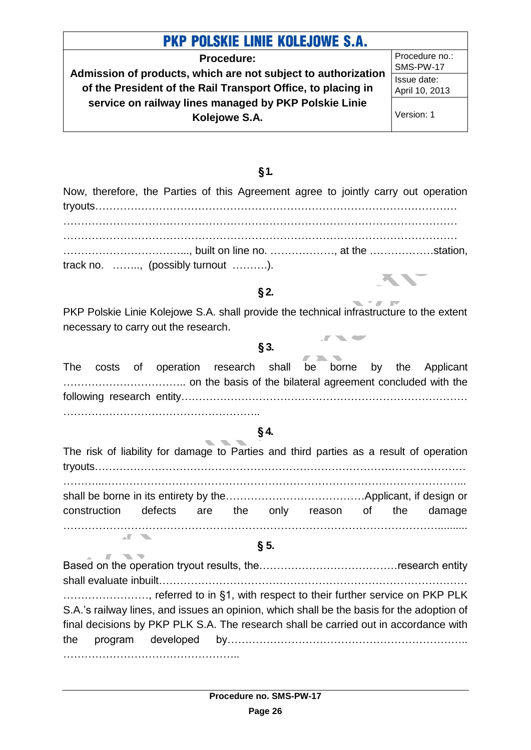**Procedure: Admission of products, which are not subject to authorization of the President of the Rail Transport Office, to placing in service on railway lines managed by PKP Polskie Linie Kolejowe S.A.**

Procedure no.: SMS-PW-17 Issue date: April 10, 2013

Version: 1

#### **§1.**

Now, therefore, the Parties of this Agreement agree to jointly carry out operation tryouts………………………………………………………………………………………… ………………………………………………………………………………………………… ………………………………………………………………………………………………… ……………………………..., built on line no. ………………, at the ………………station, track no. …….., (possibly turnout ……….).

### **§ 2.**

PKP Polskie Linie Kolejowe S.A. shall provide the technical infrastructure to the extent necessary to carry out the research.

#### **§ 3.**

**The Contract** 

 $\overline{a}$ 

|  | The costs of operation research shall be borne by the Applicant |  |  |  |  |  |  |  |
|--|-----------------------------------------------------------------|--|--|--|--|--|--|--|
|  |                                                                 |  |  |  |  |  |  |  |
|  |                                                                 |  |  |  |  |  |  |  |
|  |                                                                 |  |  |  |  |  |  |  |

### **§ 4.**

The risk of liability for damage to Parties and third parties as a result of operation tryouts…………………………………………………………………………………………… ………...………………………………………………………………………………………... shall be borne in its entirety by the…………………………………Applicant, if design or construction defects are the only reason of the damage ……………………………………………………………………………………………..........

### **§ 5.**

**ALCOHOL:** 

Based on the operation tryout results, the…………………………………research entity shall evaluate inbuilt…………………………………………………………………………… ......................., referred to in §1, with respect to their further service on PKP PLK S.A.'s railway lines, and issues an opinion, which shall be the basis for the adoption of final decisions by PKP PLK S.A. The research shall be carried out in accordance with the program developed by………………………………………………………….. …………………………………………………………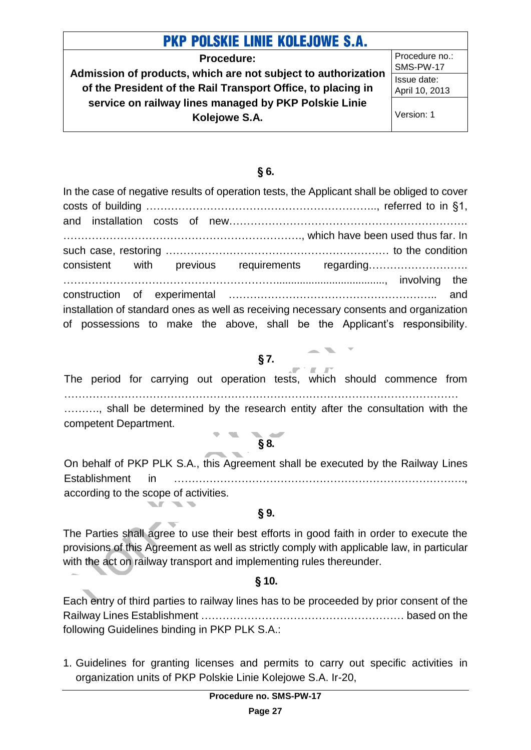**Procedure: Admission of products, which are not subject to authorization of the President of the Rail Transport Office, to placing in service on railway lines managed by PKP Polskie Linie Kolejowe S.A.**

Procedure no.: SMS-PW-17 Issue date: April 10, 2013

Version: 1

#### **§ 6.**

In the case of negative results of operation tests, the Applicant shall be obliged to cover costs of building ……………………………………………………….., referred to in §1, and installation costs of new…………………………………………………………. …………………………………………………………., which have been used thus far. In such case, restoring ……………………………………………………… to the condition consistent with previous requirements regarding………………………. ……………………………………………………....................................., involving the construction of experimental ………………………………………………….. and installation of standard ones as well as receiving necessary consents and organization of possessions to make the above, shall be the Applicant's responsibility.

### **§ 7.**

- The period for carrying out operation tests, which should commence from ………………………………………………………………………………………………… ………., shall be determined by the research entity after the consultation with the competent Department.
	- **§ 8.**

On behalf of PKP PLK S.A., this Agreement shall be executed by the Railway Lines Establishment in ………………………………………………………………………., according to the scope of activities.

#### **§ 9.**

 $\blacksquare$ 

The Parties shall agree to use their best efforts in good faith in order to execute the provisions of this Agreement as well as strictly comply with applicable law, in particular with the act on railway transport and implementing rules thereunder.

### **§ 10.**

Each entry of third parties to railway lines has to be proceeded by prior consent of the Railway Lines Establishment ………………………………………………… based on the following Guidelines binding in PKP PLK S.A.:

1. Guidelines for granting licenses and permits to carry out specific activities in organization units of PKP Polskie Linie Kolejowe S.A. Ir-20,